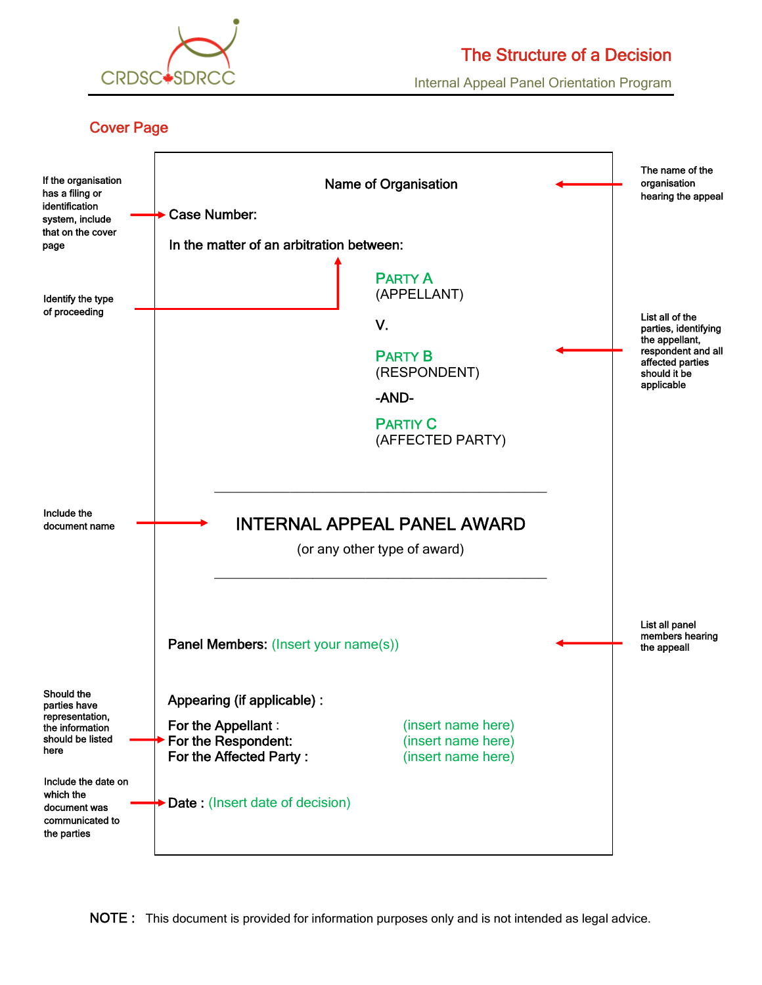

# The Structure of a Decision

Internal Appeal Panel Orientation Program

## Cover Page

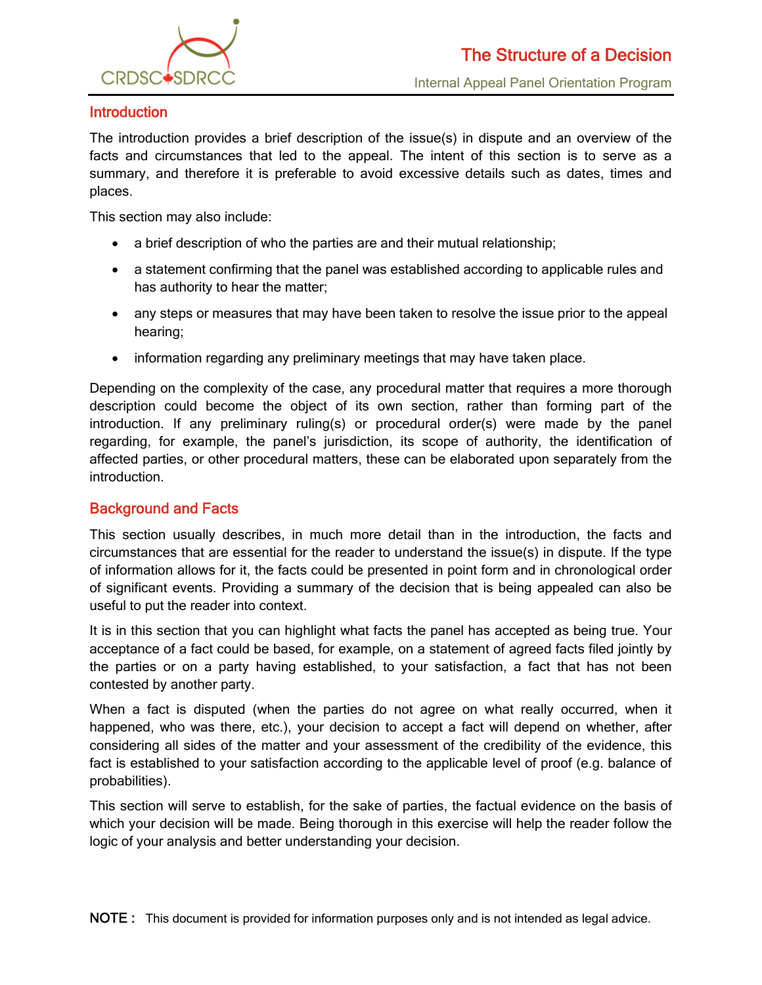

## **Introduction**

The introduction provides a brief description of the issue(s) in dispute and an overview of the facts and circumstances that led to the appeal. The intent of this section is to serve as a summary, and therefore it is preferable to avoid excessive details such as dates, times and places.

This section may also include:

- a brief description of who the parties are and their mutual relationship;
- a statement confirming that the panel was established according to applicable rules and has authority to hear the matter;
- any steps or measures that may have been taken to resolve the issue prior to the appeal hearing;
- information regarding any preliminary meetings that may have taken place.

Depending on the complexity of the case, any procedural matter that requires a more thorough description could become the object of its own section, rather than forming part of the introduction. If any preliminary ruling(s) or procedural order(s) were made by the panel regarding, for example, the panel's jurisdiction, its scope of authority, the identification of affected parties, or other procedural matters, these can be elaborated upon separately from the introduction.

## Background and Facts

This section usually describes, in much more detail than in the introduction, the facts and circumstances that are essential for the reader to understand the issue(s) in dispute. If the type of information allows for it, the facts could be presented in point form and in chronological order of significant events. Providing a summary of the decision that is being appealed can also be useful to put the reader into context.

It is in this section that you can highlight what facts the panel has accepted as being true. Your acceptance of a fact could be based, for example, on a statement of agreed facts filed jointly by the parties or on a party having established, to your satisfaction, a fact that has not been contested by another party.

When a fact is disputed (when the parties do not agree on what really occurred, when it happened, who was there, etc.), your decision to accept a fact will depend on whether, after considering all sides of the matter and your assessment of the credibility of the evidence, this fact is established to your satisfaction according to the applicable level of proof (e.g. balance of probabilities).

This section will serve to establish, for the sake of parties, the factual evidence on the basis of which your decision will be made. Being thorough in this exercise will help the reader follow the logic of your analysis and better understanding your decision.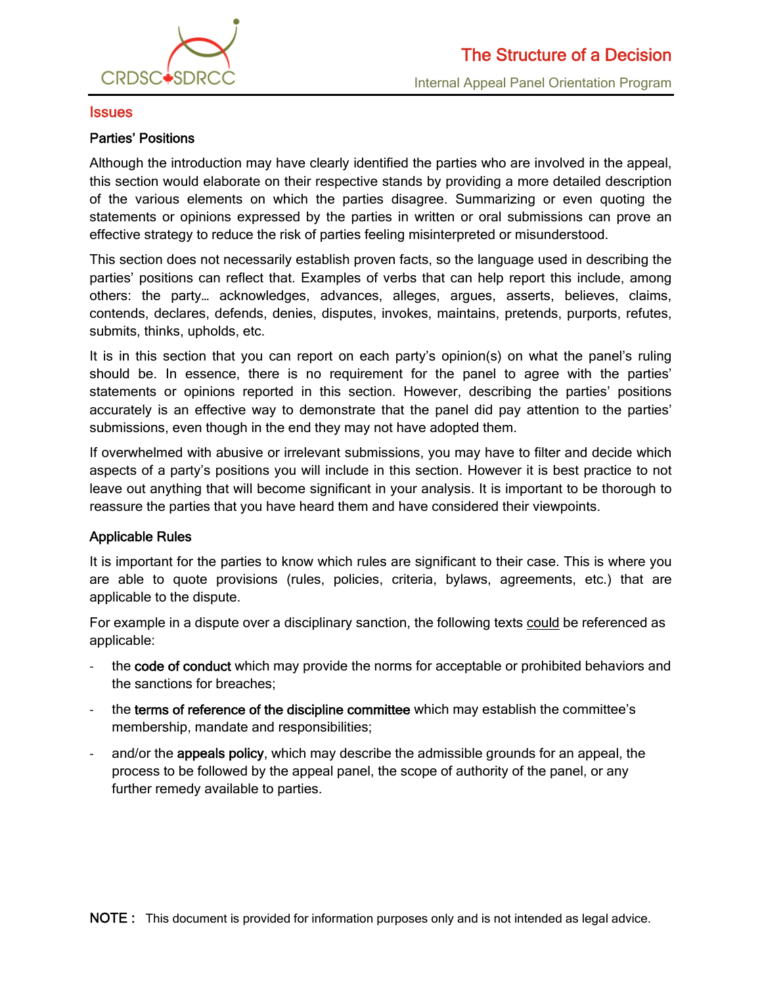

#### **Issues**

#### Parties' Positions

Although the introduction may have clearly identified the parties who are involved in the appeal, this section would elaborate on their respective stands by providing a more detailed description of the various elements on which the parties disagree. Summarizing or even quoting the statements or opinions expressed by the parties in written or oral submissions can prove an effective strategy to reduce the risk of parties feeling misinterpreted or misunderstood.

This section does not necessarily establish proven facts, so the language used in describing the parties' positions can reflect that. Examples of verbs that can help report this include, among others: the party… acknowledges, advances, alleges, argues, asserts, believes, claims, contends, declares, defends, denies, disputes, invokes, maintains, pretends, purports, refutes, submits, thinks, upholds, etc.

It is in this section that you can report on each party's opinion(s) on what the panel's ruling should be. In essence, there is no requirement for the panel to agree with the parties' statements or opinions reported in this section. However, describing the parties' positions accurately is an effective way to demonstrate that the panel did pay attention to the parties' submissions, even though in the end they may not have adopted them.

If overwhelmed with abusive or irrelevant submissions, you may have to filter and decide which aspects of a party's positions you will include in this section. However it is best practice to not leave out anything that will become significant in your analysis. It is important to be thorough to reassure the parties that you have heard them and have considered their viewpoints.

#### Applicable Rules

It is important for the parties to know which rules are significant to their case. This is where you are able to quote provisions (rules, policies, criteria, bylaws, agreements, etc.) that are applicable to the dispute.

For example in a dispute over a disciplinary sanction, the following texts could be referenced as applicable:

- the code of conduct which may provide the norms for acceptable or prohibited behaviors and the sanctions for breaches;
- ‐ the terms of reference of the discipline committee which may establish the committee's membership, mandate and responsibilities;
- and/or the appeals policy, which may describe the admissible grounds for an appeal, the process to be followed by the appeal panel, the scope of authority of the panel, or any further remedy available to parties.